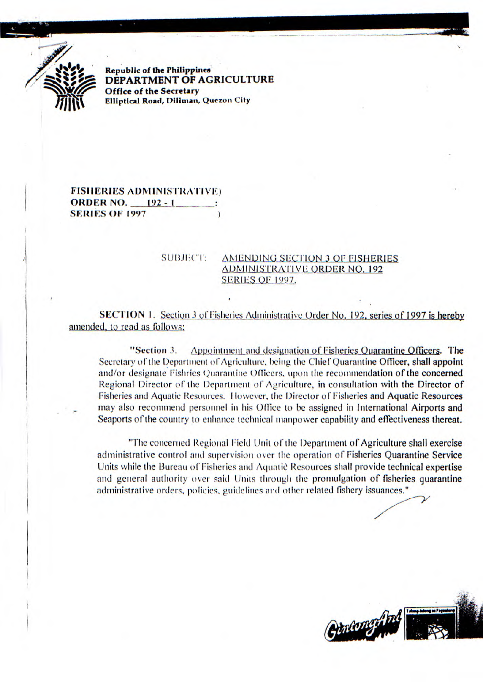

**Republic of the Philippines DEPARTMENT OF AGRICULTURE Office** *of* **the Secretary Elliptical Road, Dilinian, Quezon City** 

**FISHERIES ADMINISTRATIVE) ORDER NO. 192 - <sup>1</sup> SERIES OF 1997** 

## SUBJECT: AMENDING SECTION 3 OF FISHERIES **ADMINISTRATIVE ORDER NO. 192 SERIES OF 1997.**

**SECTION** 1. Section 3 of Fisheries Administrative Order No. 192, series of 1997 is hereby amended, to read as follows:

"Section 3. Appointment and designation of Fisheries Quarantine Officers. The Secretary of the Department of Agriculture, being the Chief Quarantine Officer, shall appoint and/or designate Fishries Quarantine Officers, upon the recommendation of the concerned Regional Director of the Department of Agriculture, in consultation with the Director of Fisheries and Aquatic Resources. However, the Director of Fisheries and Aquatic Resources may also recommend personnel in his Office to be assigned in International Airports and Seaports of the country to enhance technical manpower capability and effectiveness thereat.

"The concerned Regional Field Unit of the Department of Agriculture shall exercise administrative control and supervision over the *operation* of Fisheries Quarantine Service Units while the Bureau of Fisheries and Aquatie Resources shall provide technical expertise and general authority over said Units through the promulgation of fisheries quarantine administrative orders, policies, guidelines and other related fishery issuances."